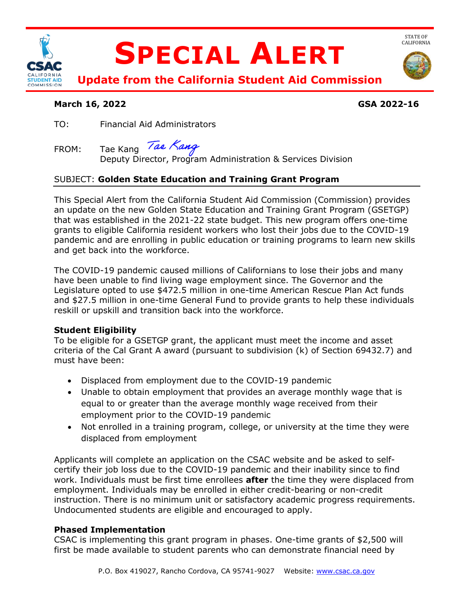

### **March 16, 2022 GSA 2022-16**

TO: Financial Aid Administrators

Tae Kang Tae Kang

FROM: Tae Kang *Tae Nang*<br>Deputy Director, Program Administration & Services Division

# SUBJECT: **Golden State Education and Training Grant Program**

This Special Alert from the California Student Aid Commission (Commission) provides an update on the new Golden State Education and Training Grant Program (GSETGP) that was established in the 2021-22 state budget. This new program offers one-time grants to eligible California resident workers who lost their jobs due to the COVID-19 pandemic and are enrolling in public education or training programs to learn new skills and get back into the workforce.

The COVID-19 pandemic caused millions of Californians to lose their jobs and many have been unable to find living wage employment since. The Governor and the Legislature opted to use \$472.5 million in one-time American Rescue Plan Act funds and \$27.5 million in one-time General Fund to provide grants to help these individuals reskill or upskill and transition back into the workforce.

### **Student Eligibility**

To be eligible for a GSETGP grant, the applicant must meet the income and asset criteria of the Cal Grant A award (pursuant to subdivision (k) of Section 69432.7) and must have been:

- Displaced from employment due to the COVID-19 pandemic
- Unable to obtain employment that provides an average monthly wage that is equal to or greater than the average monthly wage received from their employment prior to the COVID-19 pandemic
- Not enrolled in a training program, college, or university at the time they were displaced from employment

Applicants will complete an application on the CSAC website and be asked to selfcertify their job loss due to the COVID-19 pandemic and their inability since to find work. Individuals must be first time enrollees **after** the time they were displaced from employment. Individuals may be enrolled in either credit-bearing or non-credit instruction. There is no minimum unit or satisfactory academic progress requirements. Undocumented students are eligible and encouraged to apply.

### **Phased Implementation**

CSAC is implementing this grant program in phases. One-time grants of \$2,500 will first be made available to student parents who can demonstrate financial need by